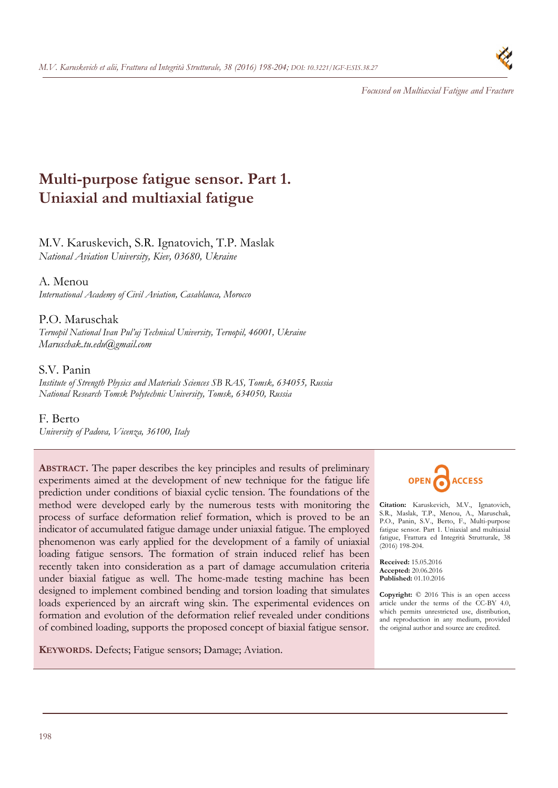

*Focussed on Multiaxial Fatigue and Fracture* 

# **Multi-purpose fatigue sensor. Part 1. Uniaxial and multiaxial fatigue**

# M.V. Karuskevich, S.R. Ignatovich, Т.P. Maslak *National Aviation University, Kiev, 03680, Ukraine*

A. Menou *International Academy of Civil Aviation, Casablanca, Morocco* 

# P.О. Maruschak

*Ternopil National Ivan Pul'uj Technical University, Ternopil, 46001, Ukraine Maruschak.tu.edu@gmail.com* 

# S.V. Panin

*Institute of Strength Physics and Materials Sciences SB RAS, Tomsk, 634055, Russia National Research Tomsk Polytechnic University, Tomsk, 634050, Russia* 

F. Berto *University of Padova, Vicenza, 36100, Italy* 

**ABSTRACT.** The paper describes the key principles and results of preliminary experiments aimed at the development of new technique for the fatigue life prediction under conditions of biaxial cyclic tension. The foundations of the method were developed early by the numerous tests with monitoring the process of surface deformation relief formation, which is proved to be an indicator of accumulated fatigue damage under uniaxial fatigue. The employed phenomenon was early applied for the development of a family of uniaxial loading fatigue sensors. The formation of strain induced relief has been recently taken into consideration as a part of damage accumulation criteria under biaxial fatigue as well. The home-made testing machine has been designed to implement combined bending and torsion loading that simulates loads experienced by an aircraft wing skin. The experimental evidences on formation and evolution of the deformation relief revealed under conditions of combined loading, supports the proposed concept of biaxial fatigue sensor.

**KEYWORDS.** Defects; Fatigue sensors; Damage; Aviation.



**Citation:** Karuskevich, M.V., Ignatovich, S.R., Maslak, Т.P., Menou, A., Maruschak, P.О., Panin, S.V., Berto, F., Multi-purpose fatigue sensor. Part 1. Uniaxial and multiaxial fatigue, Frattura ed Integrità Strutturale, 38 (2016) 198-204.

**Received:** 15.05.2016 **Accepted:** 20.06.2016 **Published:** 01.10.2016

**Copyright:** © 2016 This is an open access article under the terms of the CC-BY 4.0, which permits unrestricted use, distribution, and reproduction in any medium, provided the original author and source are credited.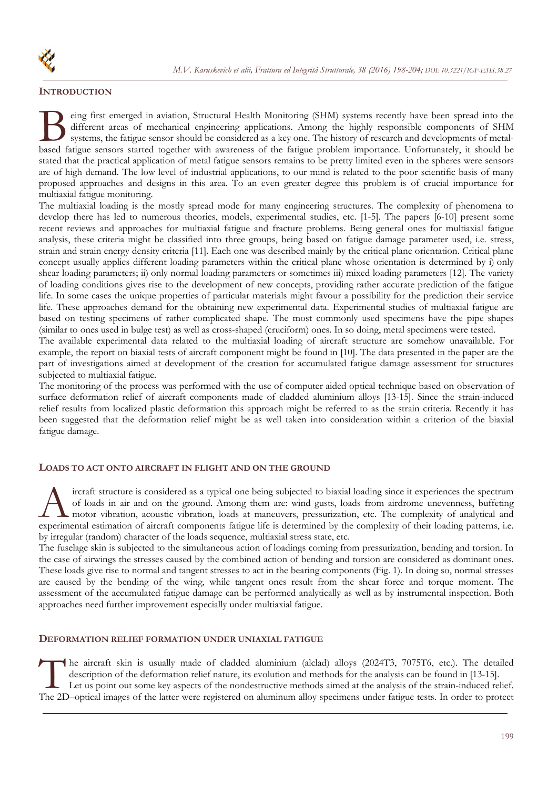## **INTRODUCTION**

eing first emerged in aviation, Structural Health Monitoring (SHM) systems recently have been spread into the different areas of mechanical engineering applications. Among the highly responsible components of SHM systems, the fatigue sensor should be considered as a key one. The history of research and developments of metal-Being first emerged in aviation, Structural Health Monitoring (SHM) systems recently have been spread into the different areas of mechanical engineering applications. Among the highly responsible components of SHM systems, stated that the practical application of metal fatigue sensors remains to be pretty limited even in the spheres were sensors are of high demand. The low level of industrial applications, to our mind is related to the poor scientific basis of many proposed approaches and designs in this area. To an even greater degree this problem is of crucial importance for multiaxial fatigue monitoring.

The multiaxial loading is the mostly spread mode for many engineering structures. The complexity of phenomena to develop there has led to numerous theories, models, experimental studies, etc. [1-5]. The papers [6-10] present some recent reviews and approaches for multiaxial fatigue and fracture problems. Being general ones for multiaxial fatigue analysis, these criteria might be classified into three groups, being based on fatigue damage parameter used, i.e. stress, strain and strain energy density criteria [11]. Each one was described mainly by the critical plane orientation. Critical plane concept usually applies different loading parameters within the critical plane whose orientation is determined by i) only shear loading parameters; ii) only normal loading parameters or sometimes iii) mixed loading parameters [12]. The variety of loading conditions gives rise to the development of new concepts, providing rather accurate prediction of the fatigue life. In some cases the unique properties of particular materials might favour a possibility for the prediction their service life. These approaches demand for the obtaining new experimental data. Experimental studies of multiaxial fatigue are based on testing specimens of rather complicated shape. The most commonly used specimens have the pipe shapes (similar to ones used in bulge test) as well as cross-shaped (cruciform) ones. In so doing, metal specimens were tested.

The available experimental data related to the multiaxial loading of aircraft structure are somehow unavailable. For example, the report on biaxial tests of aircraft component might be found in [10]. The data presented in the paper are the part of investigations aimed at development of the creation for accumulated fatigue damage assessment for structures subjected to multiaxial fatigue.

The monitoring of the process was performed with the use of computer aided optical technique based on observation of surface deformation relief of aircraft components made of cladded aluminium alloys [13-15]. Since the strain-induced relief results from localized plastic deformation this approach might be referred to as the strain criteria. Recently it has been suggested that the deformation relief might be as well taken into consideration within a criterion of the biaxial fatigue damage.

#### **LOADS TO ACT ONTO AIRCRAFT IN FLIGHT AND ON THE GROUND**

ircraft structure is considered as a typical one being subjected to biaxial loading since it experiences the spectrum of loads in air and on the ground. Among them are: wind gusts, loads from airdrome unevenness, buffeting motor vibration, acoustic vibration, loads at maneuvers, pressurization, etc. The complexity of analytical and Final experiences the spectrum of loads in air and on the ground. Among them are: wind gusts, loads from airdrome unevenness, buffeting motor vibration, acoustic vibration, loads at maneuvers, pressurization, etc. The comp by irregular (random) character of the loads sequence, multiaxial stress state, etc.

The fuselage skin is subjected to the simultaneous action of loadings coming from pressurization, bending and torsion. In the case of airwings the stresses caused by the combined action of bending and torsion are considered as dominant ones. These loads give rise to normal and tangent stresses to act in the bearing components (Fig. 1). In doing so, normal stresses are caused by the bending of the wing, while tangent ones result from the shear force and torque moment. The assessment of the accumulated fatigue damage can be performed analytically as well as by instrumental inspection. Both approaches need further improvement especially under multiaxial fatigue.

## **DEFORMATION RELIEF FORMATION UNDER UNIAXIAL FATIGUE**

he aircraft skin is usually made of cladded aluminium (alclad) alloys (2024T3, 7075T6, etc.). The detailed description of the deformation relief nature, its evolution and methods for the analysis can be found in [13-15]. Let us point out some key aspects of the nondestructive methods aimed at the analysis of the strain-induced relief. The aircraft skin is usually made of cladded aluminium (alclad) alloys (2024T3, 7075T6, etc.). The detailed description of the deformation relief nature, its evolution and methods for the analysis can be found in [13-15].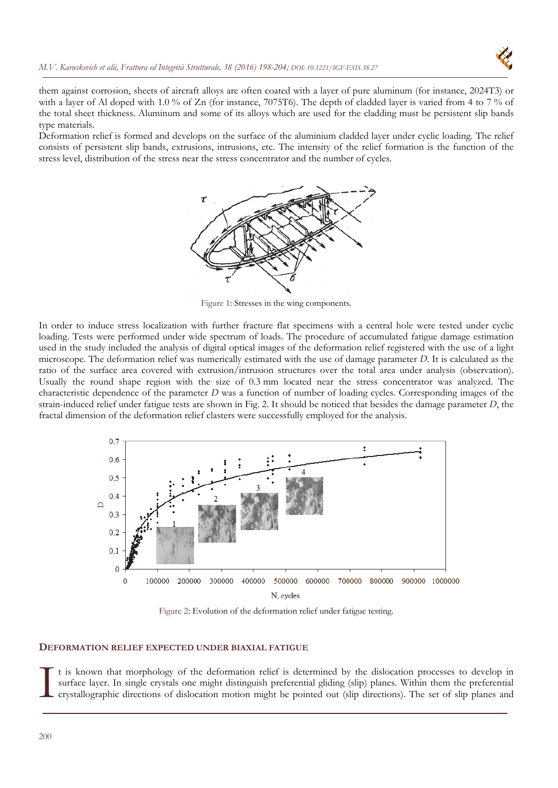

them against corrosion, sheets of aircraft alloys are often coated with a layer of pure aluminum (for instance, 2024T3) or with a layer of Al doped with 1.0 % of Zn (for instance, 7075T6). The depth of cladded layer is varied from 4 to 7 % of the total sheet thickness. Aluminum and some of its alloys which are used for the cladding must be persistent slip bands type materials.

Deformation relief is formed and develops on the surface of the aluminium cladded layer under cyclic loading. The relief consists of persistent slip bands, extrusions, intrusions, etc. The intensity of the relief formation is the function of the stress level, distribution of the stress near the stress concentrator and the number of cycles.



Figure 1: Stresses in the wing components.

In order to induce stress localization with further fracture flat specimens with a central hole were tested under cyclic loading. Tests were performed under wide spectrum of loads. The procedure of accumulated fatigue damage estimation used in the study included the analysis of digital optical images of the deformation relief registered with the use of a light microscope. The deformation relief was numerically estimated with the use of damage parameter *D*. It is calculated as the ratio of the surface area covered with extrusion/intrusion structures over the total area under analysis (observation). Usually the round shape region with the size of 0.3 mm located near the stress concentrator was analyzed. The characteristic dependence of the parameter *D* was a function of number of loading cycles. Corresponding images of the strain-induced relief under fatigue tests are shown in Fig. 2. It should be noticed that besides the damage parameter *D*, the fractal dimension of the deformation relief clasters were successfully employed for the analysis.



Figure 2: Evolution of the deformation relief under fatigue testing.

#### **DEFORMATION RELIEF EXPECTED UNDER BIAXIAL FATIGUE**

t is known that morphology of the deformation relief is determined by the dislocation processes to develop in surface layer. In single crystals one might distinguish preferential gliding (slip) planes. Within them the preferential crystallographic directions of dislocation motion might be pointed out (slip directions). The set of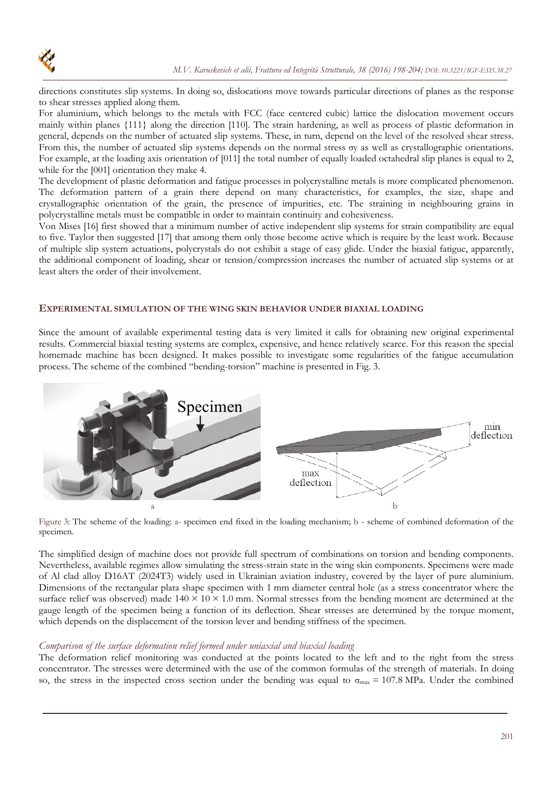directions constitutes slip systems. In doing so, dislocations move towards particular directions of planes as the response to shear stresses applied along them.

For aluminium, which belongs to the metals with FCC (face centered cubic) lattice the dislocation movement occurs mainly within planes {111} along the direction [110]. The strain hardening, as well as process of plastic deformation in general, depends on the number of actuated slip systems. These, in turn, depend on the level of the resolved shear stress. From this, the number of actuated slip systems depends on the normal stress σy as well as crystallographic orientations. For example, at the loading axis orientation of [011] the total number of equally loaded octahedral slip planes is equal to 2, while for the [001] orientation they make 4.

The development of plastic deformation and fatigue processes in polycrystalline metals is more complicated phenomenon. The deformation pattern of a grain there depend on many characteristics, for examples, the size, shape and crystallographic orientation of the grain, the presence of impurities, etc. The straining in neighbouring grains in polycrystalline metals must be compatible in order to maintain continuity and cohesiveness.

Von Mises [16] first showed that a minimum number of active independent slip systems for strain compatibility are equal to five. Taylor then suggested [17] that among them only those become active which is require by the least work. Because of multiple slip system actuations, polycrystals do not exhibit a stage of easy glide. Under the biaxial fatigue, apparently, the additional component of loading, shear or tension/compression increases the number of actuated slip systems or at least alters the order of their involvement.

#### **EXPERIMENTAL SIMULATION OF THE WING SKIN BEHAVIOR UNDER BIAXIAL LOADING**

Since the amount of available experimental testing data is very limited it calls for obtaining new original experimental results. Commercial biaxial testing systems are complex, expensive, and hence relatively scarce. For this reason the special homemade machine has been designed. It makes possible to investigate some regularities of the fatigue accumulation process. The scheme of the combined "bending-torsion" machine is presented in Fig. 3.



Figure 3: The scheme of the loading: a- specimen end fixed in the loading mechanism; b - scheme of combined deformation of the specimen.

The simplified design of machine does not provide full spectrum of combinations on torsion and bending components. Nevertheless, available regimes allow simulating the stress-strain state in the wing skin components. Specimens were made of Al clad alloy D16AT (2024T3) widely used in Ukrainian aviation industry, covered by the layer of pure aluminium. Dimensions of the rectangular plata shape specimen with 1 mm diameter central hole (as a stress concentrator where the surface relief was observed) made  $140 \times 10 \times 1.0$  mm. Normal stresses from the bending moment are determined at the gauge length of the specimen being a function of its deflection. Shear stresses are determined by the torque moment, which depends on the displacement of the torsion lever and bending stiffness of the specimen.

#### *Comparison of the surface deformation relief formed under uniaxial and biaxial loading*

The deformation relief monitoring was conducted at the points located to the left and to the right from the stress concentrator. The stresses were determined with the use of the common formulas of the strength of materials. In doing so, the stress in the inspected cross section under the bending was equal to  $\sigma_{\text{max}} = 107.8 \text{ MPa}$ . Under the combined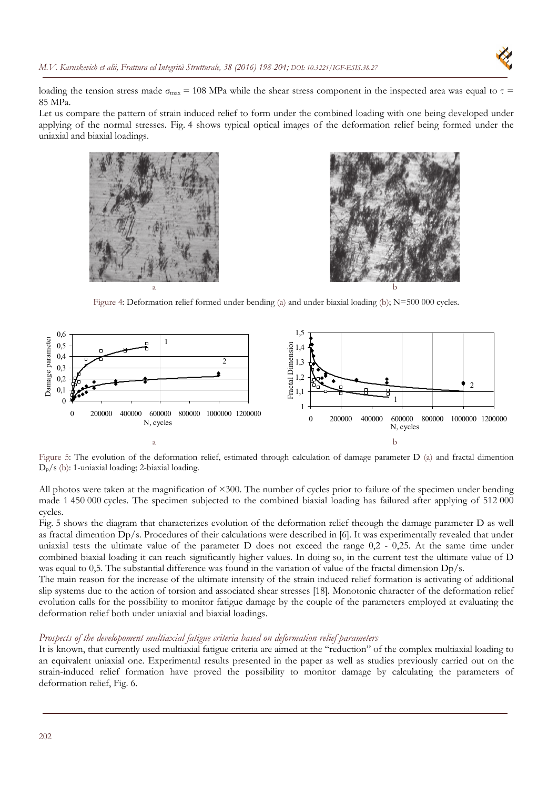

loading the tension stress made  $\sigma_{\text{max}} = 108 \text{ MPa}$  while the shear stress component in the inspected area was equal to  $\tau$ 85 MPa.

Let us compare the pattern of strain induced relief to form under the combined loading with one being developed under applying of the normal stresses. Fig. 4 shows typical optical images of the deformation relief being formed under the uniaxial and biaxial loadings.





Figure 4: Deformation relief formed under bending (a) and under biaxial loading (b); N=500 000 cycles.



Figure 5: The evolution of the deformation relief, estimated through calculation of damage parameter D (a) and fractal dimention  $D_p/s$  (b): 1-uniaxial loading; 2-biaxial loading.

All photos were taken at the magnification of  $\times 300$ . The number of cycles prior to failure of the specimen under bending made 1 450 000 cycles. The specimen subjected to the combined biaxial loading has failured after applying of 512 000 cycles.

Fig. 5 shows the diagram that characterizes evolution of the deformation relief theough the damage parameter D as well as fractal dimention Dp/s. Procedures of their calculations were described in [6]. It was experimentally revealed that under uniaxial tests the ultimate value of the parameter D does not exceed the range 0,2 - 0,25. At the same time under combined biaxial loading it can reach significantly higher values. In doing so, in the current test the ultimate value of D was equal to 0,5. The substantial difference was found in the variation of value of the fractal dimension Dp/s.

The main reason for the increase of the ultimate intensity of the strain induced relief formation is activating of additional slip systems due to the action of torsion and associated shear stresses [18]. Monotonic character of the deformation relief evolution calls for the possibility to monitor fatigue damage by the couple of the parameters employed at evaluating the deformation relief both under uniaxial and biaxial loadings.

# *Prospects of the developoment multiaxial fatigue criteria based on deformation relief parameters*

It is known, that currently used multiaxial fatigue criteria are aimed at the "reduction" of the complex multiaxial loading to an equivalent uniaxial one. Experimental results presented in the paper as well as studies previously carried out on the strain-induced relief formation have proved the possibility to monitor damage by calculating the parameters of deformation relief, Fig. 6.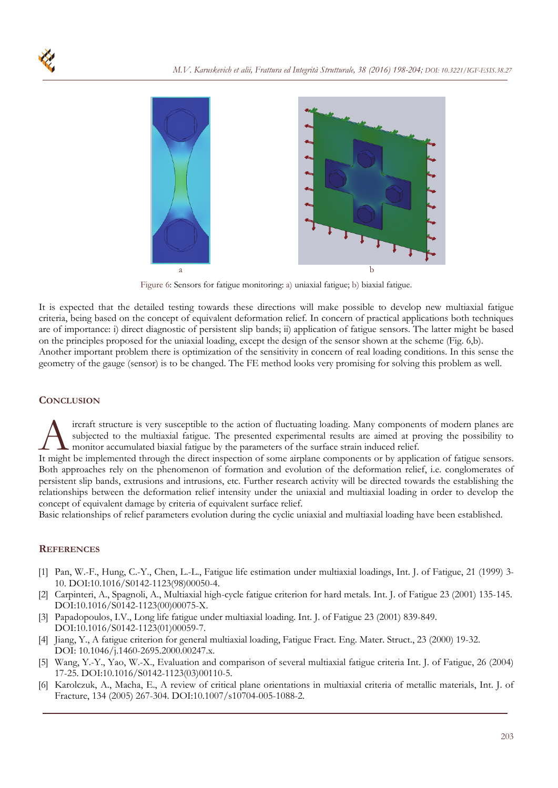

Figure 6: Sensors for fatigue monitoring: a) uniaxial fatigue; b) biaxial fatigue.

It is expected that the detailed testing towards these directions will make possible to develop new multiaxial fatigue criteria, being based on the concept of equivalent deformation relief. In concern of practical applications both techniques are of importance: i) direct diagnostic of persistent slip bands; ii) application of fatigue sensors. The latter might be based on the principles proposed for the uniaxial loading, except the design of the sensor shown at the scheme (Fig. 6,b). Another important problem there is optimization of the sensitivity in concern of real loading conditions. In this sense the geometry of the gauge (sensor) is to be changed. The FE method looks very promising for solving this problem as well.

#### **CONCLUSION**

ircraft structure is very susceptible to the action of fluctuating loading. Many components of modern planes are subjected to the multiaxial fatigue. The presented experimental results are aimed at proving the possibility to monitor accumulated biaxial fatigue by the parameters of the surface strain induced relief. It might be implemented through the direct inspection of some airplane components of modern planes are subjected to the multiaxial fatigue. The presented experimental results are aimed at proving the possibility to monitor

Both approaches rely on the phenomenon of formation and evolution of the deformation relief, i.e. conglomerates of persistent slip bands, extrusions and intrusions, etc. Further research activity will be directed towards the establishing the relationships between the deformation relief intensity under the uniaxial and multiaxial loading in order to develop the concept of equivalent damage by criteria of equivalent surface relief.

Basic relationships of relief parameters evolution during the cyclic uniaxial and multiaxial loading have been established.

#### **REFERENCES**

- [1] Pan, W.-F., Hung, C.-Y., Chen, L.-L., Fatigue life estimation under multiaxial loadings, Int. J. of Fatigue, 21 (1999) 3- 10. DOI:10.1016/S0142-1123(98)00050-4.
- [2] Carpinteri, A., Spagnoli, A., Multiaxial high-cycle fatigue criterion for hard metals. Int. J. of Fatigue 23 (2001) 135-145. DOI:10.1016/S0142-1123(00)00075-X.
- [3] Papadopoulos, I.V., Long life fatigue under multiaxial loading. Int. J. of Fatigue 23 (2001) 839-849. DOI:10.1016/S0142-1123(01)00059-7.
- [4] Jiang, Y., A fatigue criterion for general multiaxial loading, Fatigue Fract. Eng. Mater. Struct., 23 (2000) 19-32. DOI: 10.1046/j.1460-2695.2000.00247.x.
- [5] Wang, Y.-Y., Yao, W.-X., Evaluation and comparison of several multiaxial fatigue criteria Int. J. of Fatigue, 26 (2004) 17-25. DOI:10.1016/S0142-1123(03)00110-5.
- [6] Karolczuk, A., Macha, E., A review of critical plane orientations in multiaxial criteria of metallic materials, Int. J. of Fracture, 134 (2005) 267-304. DOI:10.1007/s10704-005-1088-2.